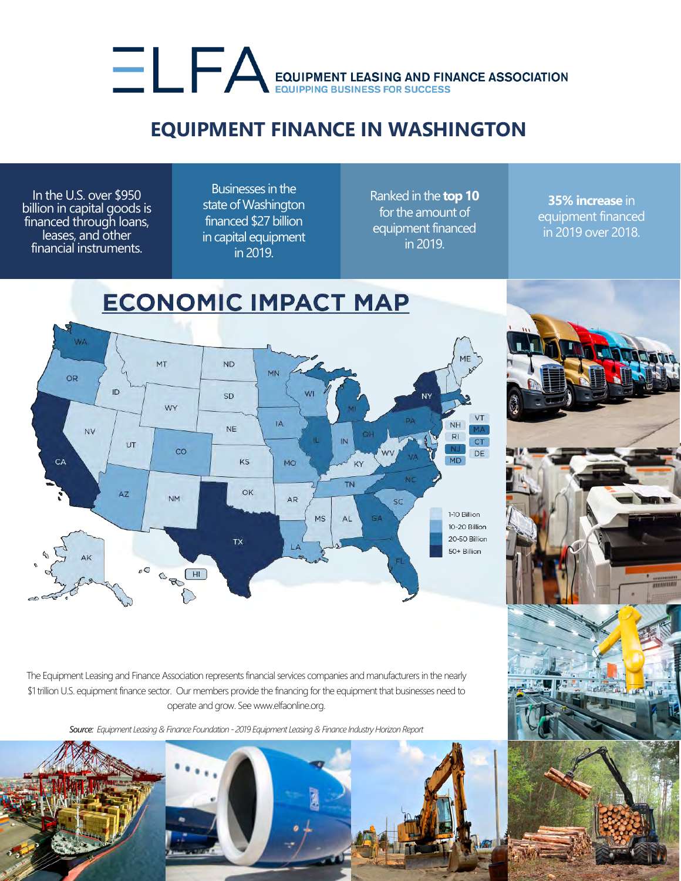## EQUIPMENT LEASING AND FINANCE ASSOCIATION

## **EQUIPMENT FINANCE IN WASHINGTON**

In the U.S. over \$950 billion in capital goods is financed through loans, leases, and other financial instruments.

Businesses in the state of Washington financed \$27 billion in capital equipment in 2019.

Ranked in the **top 10** for the amount of equipment financed in 2019.

**35% increase** in equipment financed in 2019 over 2018.



The Equipment Leasing and Finance Association represents financial services companies and manufacturers in the nearly \$1 trillion U.S. equipment finance sector. Our members provide the financing for the equipment that businesses need to operate and grow. See www.elfaonline.org.

*Source: Equipment Leasing & Finance Foundation - 2019 Equipment Leasing & Finance Industry Horizon Report*